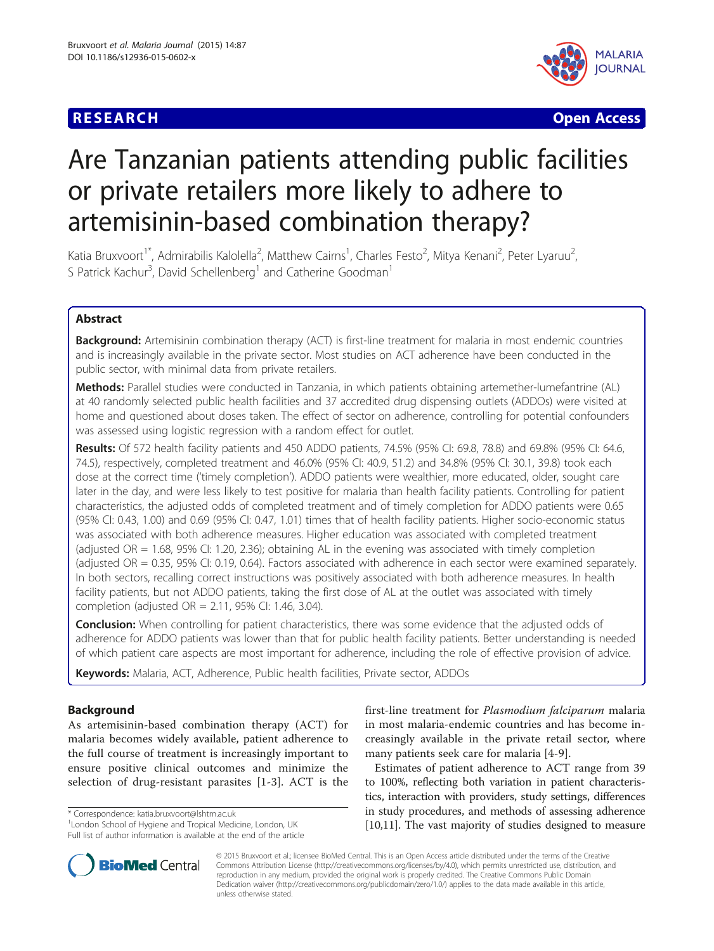## **RESEARCH CHEAR CHEAR CHEAR CHEAR CHEAR CHEAR CHEAR CHEAR CHEAR CHEAR CHEAR CHEAR CHEAR CHEAR CHEAR CHEAR CHEAR**



# Are Tanzanian patients attending public facilities or private retailers more likely to adhere to artemisinin-based combination therapy?

Katia Bruxvoort<sup>1\*</sup>, Admirabilis Kalolella<sup>2</sup>, Matthew Cairns<sup>1</sup>, Charles Festo<sup>2</sup>, Mitya Kenani<sup>2</sup>, Peter Lyaruu<sup>2</sup> , S Patrick Kachur<sup>3</sup>, David Schellenberg<sup>1</sup> and Catherine Goodman<sup>1</sup>

## Abstract

Background: Artemisinin combination therapy (ACT) is first-line treatment for malaria in most endemic countries and is increasingly available in the private sector. Most studies on ACT adherence have been conducted in the public sector, with minimal data from private retailers.

Methods: Parallel studies were conducted in Tanzania, in which patients obtaining artemether-lumefantrine (AL) at 40 randomly selected public health facilities and 37 accredited drug dispensing outlets (ADDOs) were visited at home and questioned about doses taken. The effect of sector on adherence, controlling for potential confounders was assessed using logistic regression with a random effect for outlet.

Results: Of 572 health facility patients and 450 ADDO patients, 74.5% (95% CI: 69.8, 78.8) and 69.8% (95% CI: 64.6, 74.5), respectively, completed treatment and 46.0% (95% CI: 40.9, 51.2) and 34.8% (95% CI: 30.1, 39.8) took each dose at the correct time ('timely completion'). ADDO patients were wealthier, more educated, older, sought care later in the day, and were less likely to test positive for malaria than health facility patients. Controlling for patient characteristics, the adjusted odds of completed treatment and of timely completion for ADDO patients were 0.65 (95% CI: 0.43, 1.00) and 0.69 (95% CI: 0.47, 1.01) times that of health facility patients. Higher socio-economic status was associated with both adherence measures. Higher education was associated with completed treatment (adjusted OR = 1.68, 95% CI: 1.20, 2.36); obtaining AL in the evening was associated with timely completion (adjusted OR = 0.35, 95% CI: 0.19, 0.64). Factors associated with adherence in each sector were examined separately. In both sectors, recalling correct instructions was positively associated with both adherence measures. In health facility patients, but not ADDO patients, taking the first dose of AL at the outlet was associated with timely completion (adjusted OR = 2.11, 95% CI: 1.46, 3.04).

**Conclusion:** When controlling for patient characteristics, there was some evidence that the adjusted odds of adherence for ADDO patients was lower than that for public health facility patients. Better understanding is needed of which patient care aspects are most important for adherence, including the role of effective provision of advice.

Keywords: Malaria, ACT, Adherence, Public health facilities, Private sector, ADDOs

## Background

As artemisinin-based combination therapy (ACT) for malaria becomes widely available, patient adherence to the full course of treatment is increasingly important to ensure positive clinical outcomes and minimize the selection of drug-resistant parasites [[1-3](#page-10-0)]. ACT is the

\* Correspondence: [katia.bruxvoort@lshtm.ac.uk](mailto:katia.bruxvoort@lshtm.ac.uk) <sup>1</sup>

<sup>1</sup> London School of Hygiene and Tropical Medicine, London, UK Full list of author information is available at the end of the article



Estimates of patient adherence to ACT range from 39 to 100%, reflecting both variation in patient characteristics, interaction with providers, study settings, differences in study procedures, and methods of assessing adherence [[10](#page-10-0),[11](#page-10-0)]. The vast majority of studies designed to measure



© 2015 Bruxvoort et al.; licensee BioMed Central. This is an Open Access article distributed under the terms of the Creative Commons Attribution License [\(http://creativecommons.org/licenses/by/4.0\)](http://creativecommons.org/licenses/by/4.0), which permits unrestricted use, distribution, and reproduction in any medium, provided the original work is properly credited. The Creative Commons Public Domain Dedication waiver [\(http://creativecommons.org/publicdomain/zero/1.0/](http://creativecommons.org/publicdomain/zero/1.0/)) applies to the data made available in this article, unless otherwise stated.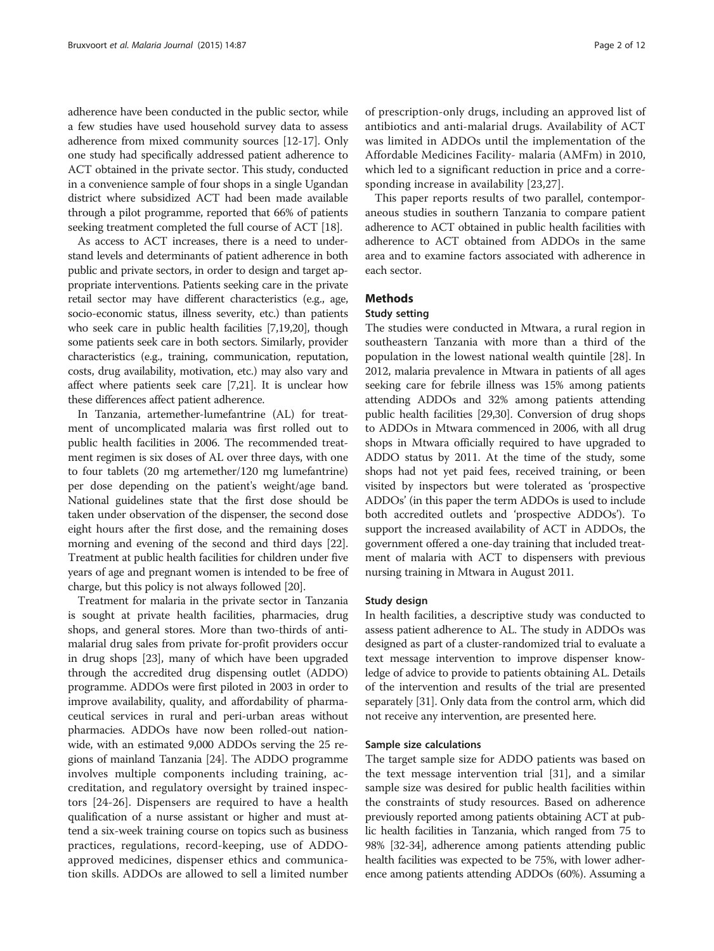adherence have been conducted in the public sector, while a few studies have used household survey data to assess adherence from mixed community sources [\[12](#page-10-0)[-17\]](#page-11-0). Only one study had specifically addressed patient adherence to ACT obtained in the private sector. This study, conducted in a convenience sample of four shops in a single Ugandan district where subsidized ACT had been made available through a pilot programme, reported that 66% of patients seeking treatment completed the full course of ACT [\[18\]](#page-11-0).

As access to ACT increases, there is a need to understand levels and determinants of patient adherence in both public and private sectors, in order to design and target appropriate interventions. Patients seeking care in the private retail sector may have different characteristics (e.g., age, socio-economic status, illness severity, etc.) than patients who seek care in public health facilities [[7](#page-10-0)[,19,20](#page-11-0)], though some patients seek care in both sectors. Similarly, provider characteristics (e.g., training, communication, reputation, costs, drug availability, motivation, etc.) may also vary and affect where patients seek care [\[7](#page-10-0)[,21\]](#page-11-0). It is unclear how these differences affect patient adherence.

In Tanzania, artemether-lumefantrine (AL) for treatment of uncomplicated malaria was first rolled out to public health facilities in 2006. The recommended treatment regimen is six doses of AL over three days, with one to four tablets (20 mg artemether/120 mg lumefantrine) per dose depending on the patient's weight/age band. National guidelines state that the first dose should be taken under observation of the dispenser, the second dose eight hours after the first dose, and the remaining doses morning and evening of the second and third days [[22](#page-11-0)]. Treatment at public health facilities for children under five years of age and pregnant women is intended to be free of charge, but this policy is not always followed [\[20\]](#page-11-0).

Treatment for malaria in the private sector in Tanzania is sought at private health facilities, pharmacies, drug shops, and general stores. More than two-thirds of antimalarial drug sales from private for-profit providers occur in drug shops [[23](#page-11-0)], many of which have been upgraded through the accredited drug dispensing outlet (ADDO) programme. ADDOs were first piloted in 2003 in order to improve availability, quality, and affordability of pharmaceutical services in rural and peri-urban areas without pharmacies. ADDOs have now been rolled-out nationwide, with an estimated 9,000 ADDOs serving the 25 regions of mainland Tanzania [[24](#page-11-0)]. The ADDO programme involves multiple components including training, accreditation, and regulatory oversight by trained inspectors [\[24](#page-11-0)-[26](#page-11-0)]. Dispensers are required to have a health qualification of a nurse assistant or higher and must attend a six-week training course on topics such as business practices, regulations, record-keeping, use of ADDOapproved medicines, dispenser ethics and communication skills. ADDOs are allowed to sell a limited number

of prescription-only drugs, including an approved list of antibiotics and anti-malarial drugs. Availability of ACT was limited in ADDOs until the implementation of the Affordable Medicines Facility- malaria (AMFm) in 2010, which led to a significant reduction in price and a corresponding increase in availability [[23,27](#page-11-0)].

This paper reports results of two parallel, contemporaneous studies in southern Tanzania to compare patient adherence to ACT obtained in public health facilities with adherence to ACT obtained from ADDOs in the same area and to examine factors associated with adherence in each sector.

## **Methods**

#### Study setting

The studies were conducted in Mtwara, a rural region in southeastern Tanzania with more than a third of the population in the lowest national wealth quintile [[28](#page-11-0)]. In 2012, malaria prevalence in Mtwara in patients of all ages seeking care for febrile illness was 15% among patients attending ADDOs and 32% among patients attending public health facilities [\[29,30\]](#page-11-0). Conversion of drug shops to ADDOs in Mtwara commenced in 2006, with all drug shops in Mtwara officially required to have upgraded to ADDO status by 2011. At the time of the study, some shops had not yet paid fees, received training, or been visited by inspectors but were tolerated as 'prospective ADDOs' (in this paper the term ADDOs is used to include both accredited outlets and 'prospective ADDOs'). To support the increased availability of ACT in ADDOs, the government offered a one-day training that included treatment of malaria with ACT to dispensers with previous nursing training in Mtwara in August 2011.

#### Study design

In health facilities, a descriptive study was conducted to assess patient adherence to AL. The study in ADDOs was designed as part of a cluster-randomized trial to evaluate a text message intervention to improve dispenser knowledge of advice to provide to patients obtaining AL. Details of the intervention and results of the trial are presented separately [\[31\]](#page-11-0). Only data from the control arm, which did not receive any intervention, are presented here.

#### Sample size calculations

The target sample size for ADDO patients was based on the text message intervention trial [\[31](#page-11-0)], and a similar sample size was desired for public health facilities within the constraints of study resources. Based on adherence previously reported among patients obtaining ACT at public health facilities in Tanzania, which ranged from 75 to 98% [[32-34\]](#page-11-0), adherence among patients attending public health facilities was expected to be 75%, with lower adherence among patients attending ADDOs (60%). Assuming a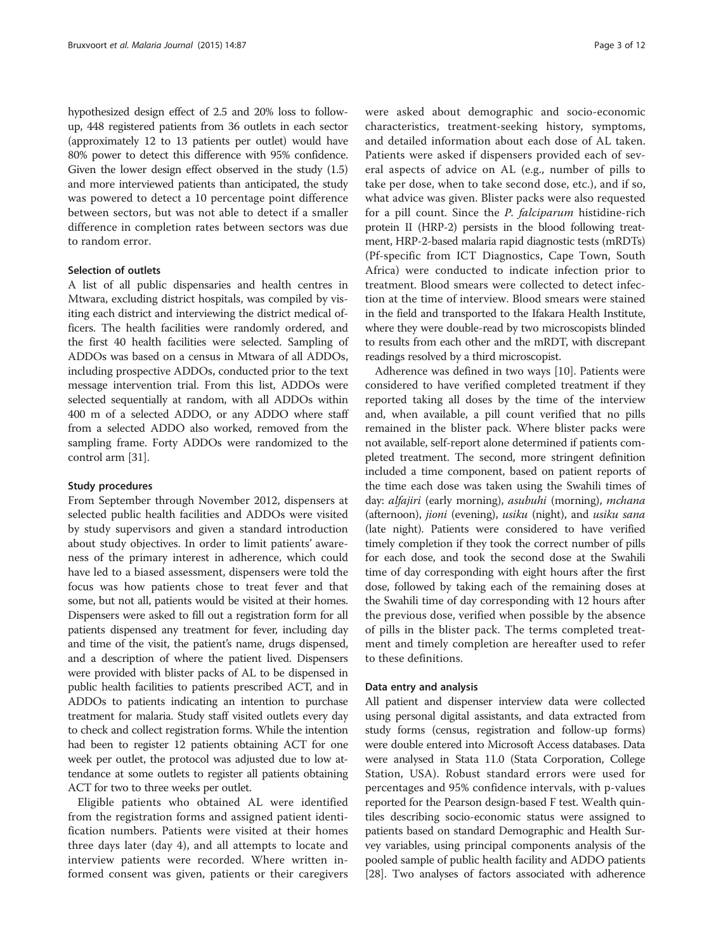hypothesized design effect of 2.5 and 20% loss to followup, 448 registered patients from 36 outlets in each sector (approximately 12 to 13 patients per outlet) would have 80% power to detect this difference with 95% confidence. Given the lower design effect observed in the study (1.5) and more interviewed patients than anticipated, the study was powered to detect a 10 percentage point difference between sectors, but was not able to detect if a smaller difference in completion rates between sectors was due to random error.

#### Selection of outlets

A list of all public dispensaries and health centres in Mtwara, excluding district hospitals, was compiled by visiting each district and interviewing the district medical officers. The health facilities were randomly ordered, and the first 40 health facilities were selected. Sampling of ADDOs was based on a census in Mtwara of all ADDOs, including prospective ADDOs, conducted prior to the text message intervention trial. From this list, ADDOs were selected sequentially at random, with all ADDOs within 400 m of a selected ADDO, or any ADDO where staff from a selected ADDO also worked, removed from the sampling frame. Forty ADDOs were randomized to the control arm [[31\]](#page-11-0).

#### Study procedures

From September through November 2012, dispensers at selected public health facilities and ADDOs were visited by study supervisors and given a standard introduction about study objectives. In order to limit patients' awareness of the primary interest in adherence, which could have led to a biased assessment, dispensers were told the focus was how patients chose to treat fever and that some, but not all, patients would be visited at their homes. Dispensers were asked to fill out a registration form for all patients dispensed any treatment for fever, including day and time of the visit, the patient's name, drugs dispensed, and a description of where the patient lived. Dispensers were provided with blister packs of AL to be dispensed in public health facilities to patients prescribed ACT, and in ADDOs to patients indicating an intention to purchase treatment for malaria. Study staff visited outlets every day to check and collect registration forms. While the intention had been to register 12 patients obtaining ACT for one week per outlet, the protocol was adjusted due to low attendance at some outlets to register all patients obtaining ACT for two to three weeks per outlet.

Eligible patients who obtained AL were identified from the registration forms and assigned patient identification numbers. Patients were visited at their homes three days later (day 4), and all attempts to locate and interview patients were recorded. Where written informed consent was given, patients or their caregivers

were asked about demographic and socio-economic characteristics, treatment-seeking history, symptoms, and detailed information about each dose of AL taken. Patients were asked if dispensers provided each of several aspects of advice on AL (e.g., number of pills to take per dose, when to take second dose, etc.), and if so, what advice was given. Blister packs were also requested for a pill count. Since the P. falciparum histidine-rich protein II (HRP-2) persists in the blood following treatment, HRP-2-based malaria rapid diagnostic tests (mRDTs) (Pf-specific from ICT Diagnostics, Cape Town, South Africa) were conducted to indicate infection prior to treatment. Blood smears were collected to detect infection at the time of interview. Blood smears were stained in the field and transported to the Ifakara Health Institute, where they were double-read by two microscopists blinded to results from each other and the mRDT, with discrepant readings resolved by a third microscopist.

Adherence was defined in two ways [[10](#page-10-0)]. Patients were considered to have verified completed treatment if they reported taking all doses by the time of the interview and, when available, a pill count verified that no pills remained in the blister pack. Where blister packs were not available, self-report alone determined if patients completed treatment. The second, more stringent definition included a time component, based on patient reports of the time each dose was taken using the Swahili times of day: alfajiri (early morning), asubuhi (morning), mchana (afternoon), jioni (evening), usiku (night), and usiku sana (late night). Patients were considered to have verified timely completion if they took the correct number of pills for each dose, and took the second dose at the Swahili time of day corresponding with eight hours after the first dose, followed by taking each of the remaining doses at the Swahili time of day corresponding with 12 hours after the previous dose, verified when possible by the absence of pills in the blister pack. The terms completed treatment and timely completion are hereafter used to refer to these definitions.

#### Data entry and analysis

All patient and dispenser interview data were collected using personal digital assistants, and data extracted from study forms (census, registration and follow-up forms) were double entered into Microsoft Access databases. Data were analysed in Stata 11.0 (Stata Corporation, College Station, USA). Robust standard errors were used for percentages and 95% confidence intervals, with p-values reported for the Pearson design-based F test. Wealth quintiles describing socio-economic status were assigned to patients based on standard Demographic and Health Survey variables, using principal components analysis of the pooled sample of public health facility and ADDO patients [[28](#page-11-0)]. Two analyses of factors associated with adherence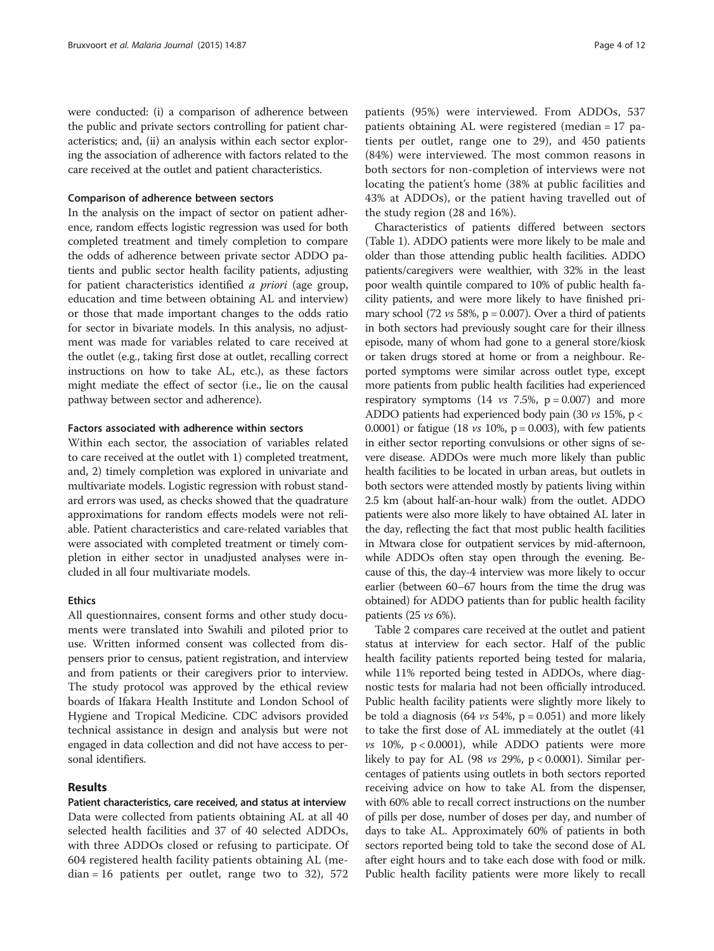were conducted: (i) a comparison of adherence between the public and private sectors controlling for patient characteristics; and, (ii) an analysis within each sector exploring the association of adherence with factors related to the care received at the outlet and patient characteristics.

#### Comparison of adherence between sectors

In the analysis on the impact of sector on patient adherence, random effects logistic regression was used for both completed treatment and timely completion to compare the odds of adherence between private sector ADDO patients and public sector health facility patients, adjusting for patient characteristics identified a priori (age group, education and time between obtaining AL and interview) or those that made important changes to the odds ratio for sector in bivariate models. In this analysis, no adjustment was made for variables related to care received at the outlet (e.g., taking first dose at outlet, recalling correct instructions on how to take AL, etc.), as these factors might mediate the effect of sector (i.e., lie on the causal pathway between sector and adherence).

#### Factors associated with adherence within sectors

Within each sector, the association of variables related to care received at the outlet with 1) completed treatment, and, 2) timely completion was explored in univariate and multivariate models. Logistic regression with robust standard errors was used, as checks showed that the quadrature approximations for random effects models were not reliable. Patient characteristics and care-related variables that were associated with completed treatment or timely completion in either sector in unadjusted analyses were included in all four multivariate models.

#### Ethics

All questionnaires, consent forms and other study documents were translated into Swahili and piloted prior to use. Written informed consent was collected from dispensers prior to census, patient registration, and interview and from patients or their caregivers prior to interview. The study protocol was approved by the ethical review boards of Ifakara Health Institute and London School of Hygiene and Tropical Medicine. CDC advisors provided technical assistance in design and analysis but were not engaged in data collection and did not have access to personal identifiers.

## Results

Patient characteristics, care received, and status at interview Data were collected from patients obtaining AL at all 40 selected health facilities and 37 of 40 selected ADDOs, with three ADDOs closed or refusing to participate. Of 604 registered health facility patients obtaining AL (median = 16 patients per outlet, range two to 32), 572

patients (95%) were interviewed. From ADDOs, 537 patients obtaining AL were registered (median = 17 patients per outlet, range one to 29), and 450 patients (84%) were interviewed. The most common reasons in both sectors for non-completion of interviews were not locating the patient's home (38% at public facilities and 43% at ADDOs), or the patient having travelled out of the study region (28 and 16%).

Characteristics of patients differed between sectors (Table [1\)](#page-4-0). ADDO patients were more likely to be male and older than those attending public health facilities. ADDO patients/caregivers were wealthier, with 32% in the least poor wealth quintile compared to 10% of public health facility patients, and were more likely to have finished primary school (72  $vs$  58%, p = 0.007). Over a third of patients in both sectors had previously sought care for their illness episode, many of whom had gone to a general store/kiosk or taken drugs stored at home or from a neighbour. Reported symptoms were similar across outlet type, except more patients from public health facilities had experienced respiratory symptoms (14  $vs$  7.5%, p = 0.007) and more ADDO patients had experienced body pain (30  $\text{vs } 15\%$ , p < 0.0001) or fatigue (18  $vs$  10%, p = 0.003), with few patients in either sector reporting convulsions or other signs of severe disease. ADDOs were much more likely than public health facilities to be located in urban areas, but outlets in both sectors were attended mostly by patients living within 2.5 km (about half-an-hour walk) from the outlet. ADDO patients were also more likely to have obtained AL later in the day, reflecting the fact that most public health facilities in Mtwara close for outpatient services by mid-afternoon, while ADDOs often stay open through the evening. Because of this, the day-4 interview was more likely to occur earlier (between 60–67 hours from the time the drug was obtained) for ADDO patients than for public health facility patients  $(25 \text{ vs } 6\%).$ 

Table [2](#page-5-0) compares care received at the outlet and patient status at interview for each sector. Half of the public health facility patients reported being tested for malaria, while 11% reported being tested in ADDOs, where diagnostic tests for malaria had not been officially introduced. Public health facility patients were slightly more likely to be told a diagnosis (64  $vs$  54%, p = 0.051) and more likely to take the first dose of AL immediately at the outlet (41  $vs$  10%,  $p < 0.0001$ ), while ADDO patients were more likely to pay for AL (98  $\nu s$  29%, p < 0.0001). Similar percentages of patients using outlets in both sectors reported receiving advice on how to take AL from the dispenser, with 60% able to recall correct instructions on the number of pills per dose, number of doses per day, and number of days to take AL. Approximately 60% of patients in both sectors reported being told to take the second dose of AL after eight hours and to take each dose with food or milk. Public health facility patients were more likely to recall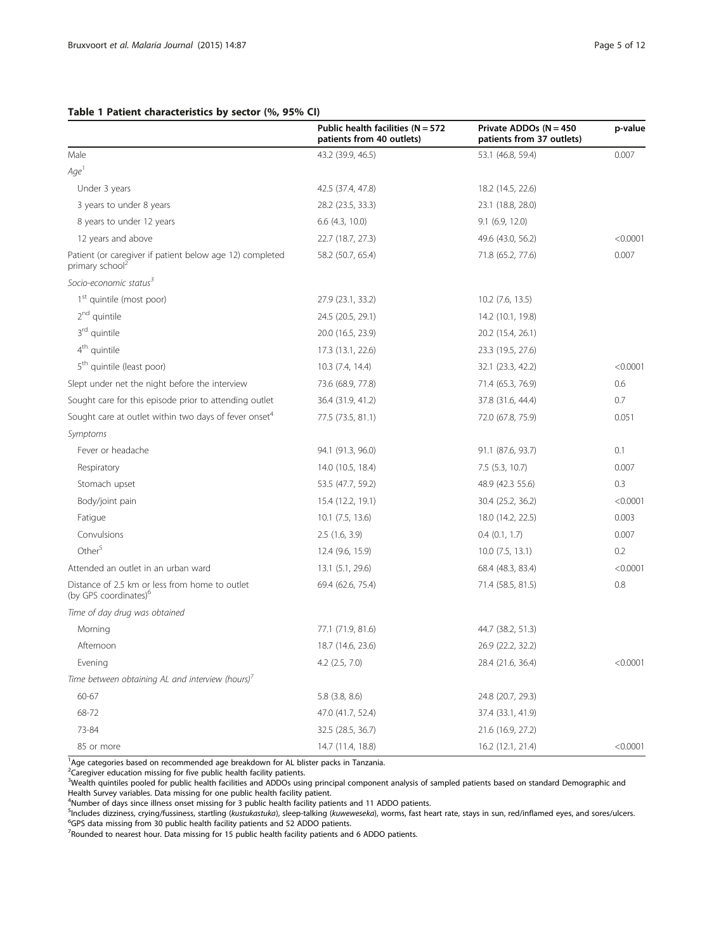## <span id="page-4-0"></span>Table 1 Patient characteristics by sector (%, 95% CI)

|                                                                                         | Public health facilities ( $N = 572$<br>patients from 40 outlets) | Private ADDOs ( $N = 450$<br>patients from 37 outlets) | p-value  |
|-----------------------------------------------------------------------------------------|-------------------------------------------------------------------|--------------------------------------------------------|----------|
| Male                                                                                    | 43.2 (39.9, 46.5)                                                 | 53.1 (46.8, 59.4)                                      | 0.007    |
| Age <sup>1</sup>                                                                        |                                                                   |                                                        |          |
| Under 3 years                                                                           | 42.5 (37.4, 47.8)                                                 | 18.2 (14.5, 22.6)                                      |          |
| 3 years to under 8 years                                                                | 28.2 (23.5, 33.3)                                                 | 23.1 (18.8, 28.0)                                      |          |
| 8 years to under 12 years                                                               | $6.6$ (4.3, 10.0)                                                 | $9.1$ (6.9, 12.0)                                      |          |
| 12 years and above                                                                      | 22.7 (18.7, 27.3)                                                 | 49.6 (43.0, 56.2)                                      | < 0.0001 |
| Patient (or caregiver if patient below age 12) completed<br>primary school <sup>2</sup> | 58.2 (50.7, 65.4)                                                 | 71.8 (65.2, 77.6)                                      | 0.007    |
| Socio-economic status <sup>3</sup>                                                      |                                                                   |                                                        |          |
| 1 <sup>st</sup> quintile (most poor)                                                    | 27.9 (23.1, 33.2)                                                 | $10.2$ (7.6, 13.5)                                     |          |
| $2nd$ quintile                                                                          | 24.5 (20.5, 29.1)                                                 | 14.2 (10.1, 19.8)                                      |          |
| 3rd quintile                                                                            | 20.0 (16.5, 23.9)                                                 | 20.2 (15.4, 26.1)                                      |          |
| 4 <sup>th</sup> quintile                                                                | 17.3 (13.1, 22.6)                                                 | 23.3 (19.5, 27.6)                                      |          |
| 5 <sup>th</sup> quintile (least poor)                                                   | 10.3 (7.4, 14.4)                                                  | 32.1 (23.3, 42.2)                                      | < 0.0001 |
| Slept under net the night before the interview                                          | 73.6 (68.9, 77.8)                                                 | 71.4 (65.3, 76.9)                                      | 0.6      |
| Sought care for this episode prior to attending outlet                                  | 36.4 (31.9, 41.2)                                                 | 37.8 (31.6, 44.4)                                      | 0.7      |
| Sought care at outlet within two days of fever onset <sup>4</sup>                       | 77.5 (73.5, 81.1)                                                 | 72.0 (67.8, 75.9)                                      | 0.051    |
| Symptoms                                                                                |                                                                   |                                                        |          |
| Fever or headache                                                                       | 94.1 (91.3, 96.0)                                                 | 91.1 (87.6, 93.7)                                      | 0.1      |
| Respiratory                                                                             | 14.0 (10.5, 18.4)                                                 | 7.5 (5.3, 10.7)                                        | 0.007    |
| Stomach upset                                                                           | 53.5 (47.7, 59.2)                                                 | 48.9 (42.3 55.6)                                       | 0.3      |
| Body/joint pain                                                                         | 15.4 (12.2, 19.1)                                                 | 30.4 (25.2, 36.2)                                      | < 0.0001 |
| Fatigue                                                                                 | $10.1$ (7.5, 13.6)                                                | 18.0 (14.2, 22.5)                                      | 0.003    |
| Convulsions                                                                             | 2.5(1.6, 3.9)                                                     | $0.4$ $(0.1, 1.7)$                                     | 0.007    |
| Other $5$                                                                               | 12.4 (9.6, 15.9)                                                  | 10.0(7.5, 13.1)                                        | 0.2      |
| Attended an outlet in an urban ward                                                     | 13.1 (5.1, 29.6)                                                  | 68.4 (48.3, 83.4)                                      | < 0.0001 |
| Distance of 2.5 km or less from home to outlet<br>(by GPS coordinates) <sup>6</sup>     | 69.4 (62.6, 75.4)                                                 | 71.4 (58.5, 81.5)                                      | 0.8      |
| Time of day drug was obtained                                                           |                                                                   |                                                        |          |
| Morning                                                                                 | 77.1 (71.9, 81.6)                                                 | 44.7 (38.2, 51.3)                                      |          |
| Afternoon                                                                               | 18.7 (14.6, 23.6)                                                 | 26.9 (22.2, 32.2)                                      |          |
| Evening                                                                                 | $4.2$ (2.5, 7.0)                                                  | 28.4 (21.6, 36.4)                                      | < 0.0001 |
| Time between obtaining AL and interview (hours)'                                        |                                                                   |                                                        |          |
| 60-67                                                                                   | 5.8 (3.8, 8.6)                                                    | 24.8 (20.7, 29.3)                                      |          |
| 68-72                                                                                   | 47.0 (41.7, 52.4)                                                 | 37.4 (33.1, 41.9)                                      |          |
| 73-84                                                                                   | 32.5 (28.5, 36.7)                                                 | 21.6 (16.9, 27.2)                                      |          |
| 85 or more                                                                              | 14.7 (11.4, 18.8)                                                 | 16.2 (12.1, 21.4)                                      | < 0.0001 |

<sup>1</sup>Age categories based on recommended age breakdown for AL blister packs in Tanzania.

<sup>2</sup> Caregiver education missing for five public health facility patients.

<sup>3</sup>Wealth quintiles pooled for public health facilities and ADDOs using principal component analysis of sampled patients based on standard Demographic and

Health Survey variables. Data missing for one public health facility patient.<br><sup>4</sup>Number of days since illness onset missing for 3 public health facility patients and 11 ADDO patients.

5<br>Includes dizziness, crying/fussiness, startling (kustukastuka), sleep-talking (kuweweseka), worms, fast heart rate, stays in sun, red/inflamed eyes, and sores/ulcers.<br><sup>6</sup>CPS data missing from 30 public health facility pa GPS data missing from 30 public health facility patients and 52 ADDO patients.

<sup>7</sup> Rounded to nearest hour. Data missing for 15 public health facility patients and 6 ADDO patients.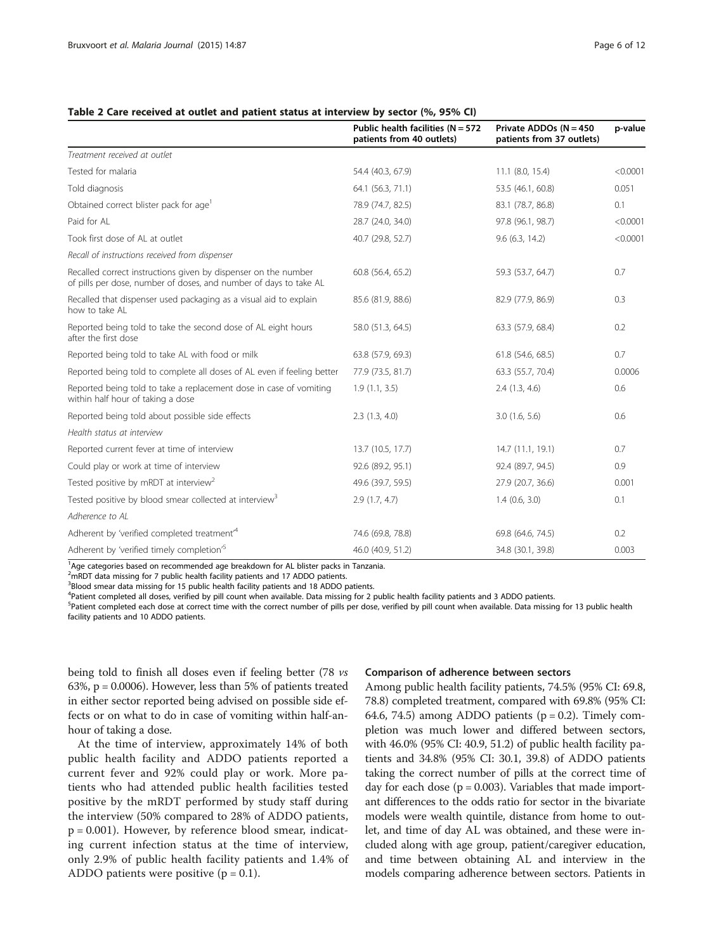|                                                                                                                                     | Public health facilities ( $N = 572$<br>patients from 40 outlets) | Private ADDOs ( $N = 450$<br>patients from 37 outlets) | p-value  |
|-------------------------------------------------------------------------------------------------------------------------------------|-------------------------------------------------------------------|--------------------------------------------------------|----------|
| Treatment received at outlet                                                                                                        |                                                                   |                                                        |          |
| Tested for malaria                                                                                                                  | 54.4 (40.3, 67.9)                                                 | $11.1$ (8.0, 15.4)                                     | < 0.0001 |
| Told diagnosis                                                                                                                      | 64.1 (56.3, 71.1)                                                 | 53.5 (46.1, 60.8)                                      | 0.051    |
| Obtained correct blister pack for age'                                                                                              | 78.9 (74.7, 82.5)                                                 | 83.1 (78.7, 86.8)                                      | 0.1      |
| Paid for Al                                                                                                                         | 28.7 (24.0, 34.0)                                                 | 97.8 (96.1, 98.7)                                      | < 0.0001 |
| Took first dose of AL at outlet                                                                                                     | 40.7 (29.8, 52.7)                                                 | $9.6$ (6.3, 14.2)                                      | < 0.0001 |
| Recall of instructions received from dispenser                                                                                      |                                                                   |                                                        |          |
| Recalled correct instructions given by dispenser on the number<br>of pills per dose, number of doses, and number of days to take AL | 60.8 (56.4, 65.2)                                                 | 59.3 (53.7, 64.7)                                      | 0.7      |
| Recalled that dispenser used packaging as a visual aid to explain<br>how to take AI                                                 | 85.6 (81.9, 88.6)                                                 | 82.9 (77.9, 86.9)                                      | 0.3      |
| Reported being told to take the second dose of AL eight hours<br>after the first dose                                               | 58.0 (51.3, 64.5)                                                 | 63.3 (57.9, 68.4)                                      | 0.2      |
| Reported being told to take AL with food or milk                                                                                    | 63.8 (57.9, 69.3)                                                 | 61.8 (54.6, 68.5)                                      | 0.7      |
| Reported being told to complete all doses of AL even if feeling better                                                              | 77.9 (73.5, 81.7)                                                 | 63.3 (55.7, 70.4)                                      | 0.0006   |
| Reported being told to take a replacement dose in case of vomiting<br>within half hour of taking a dose                             | 1.9(1.1, 3.5)                                                     | 2.4(1.3, 4.6)                                          | 0.6      |
| Reported being told about possible side effects                                                                                     | 2.3(1.3, 4.0)                                                     | 3.0(1.6, 5.6)                                          | 0.6      |
| Health status at interview                                                                                                          |                                                                   |                                                        |          |
| Reported current fever at time of interview                                                                                         | 13.7 (10.5, 17.7)                                                 | 14.7 (11.1, 19.1)                                      | 0.7      |
| Could play or work at time of interview                                                                                             | 92.6 (89.2, 95.1)                                                 | 92.4 (89.7, 94.5)                                      | 0.9      |
| Tested positive by mRDT at interview <sup>2</sup>                                                                                   | 49.6 (39.7, 59.5)                                                 | 27.9 (20.7, 36.6)                                      | 0.001    |
| Tested positive by blood smear collected at interview <sup>3</sup>                                                                  | 2.9(1.7, 4.7)                                                     | $1.4$ (0.6, 3.0)                                       | 0.1      |
| Adherence to AL                                                                                                                     |                                                                   |                                                        |          |
| Adherent by 'verified completed treatment <sup>"4</sup>                                                                             | 74.6 (69.8, 78.8)                                                 | 69.8 (64.6, 74.5)                                      | 0.2      |
| Adherent by 'verified timely completion <sup>'5</sup>                                                                               | 46.0 (40.9, 51.2)                                                 | 34.8 (30.1, 39.8)                                      | 0.003    |

#### <span id="page-5-0"></span>Table 2 Care received at outlet and patient status at interview by sector (%, 95% CI)

<sup>1</sup>Age categories based on recommended age breakdown for AL blister packs in Tanzania.

 $^{2}$ mRDT data missing for 7 public health facility patients and 17 ADDO patients.

<sup>3</sup>Blood smear data missing for 15 public health facility patients and 18 ADDO patients.

<sup>4</sup>Patient completed all doses, verified by pill count when available. Data missing for 2 public health facility patients and 3 ADDO patients.

<sup>5</sup>Patient completed each dose at correct time with the correct number of pills per dose, verified by pill count when available. Data missing for 13 public health facility patients and 10 ADDO patients.

being told to finish all doses even if feeling better (78 vs 63%,  $p = 0.0006$ ). However, less than 5% of patients treated in either sector reported being advised on possible side effects or on what to do in case of vomiting within half-anhour of taking a dose.

At the time of interview, approximately 14% of both public health facility and ADDO patients reported a current fever and 92% could play or work. More patients who had attended public health facilities tested positive by the mRDT performed by study staff during the interview (50% compared to 28% of ADDO patients,  $p = 0.001$ ). However, by reference blood smear, indicating current infection status at the time of interview, only 2.9% of public health facility patients and 1.4% of ADDO patients were positive  $(p = 0.1)$ .

## Comparison of adherence between sectors

Among public health facility patients, 74.5% (95% CI: 69.8, 78.8) completed treatment, compared with 69.8% (95% CI: 64.6, 74.5) among ADDO patients  $(p = 0.2)$ . Timely completion was much lower and differed between sectors, with 46.0% (95% CI: 40.9, 51.2) of public health facility patients and 34.8% (95% CI: 30.1, 39.8) of ADDO patients taking the correct number of pills at the correct time of day for each dose  $(p = 0.003)$ . Variables that made important differences to the odds ratio for sector in the bivariate models were wealth quintile, distance from home to outlet, and time of day AL was obtained, and these were included along with age group, patient/caregiver education, and time between obtaining AL and interview in the models comparing adherence between sectors. Patients in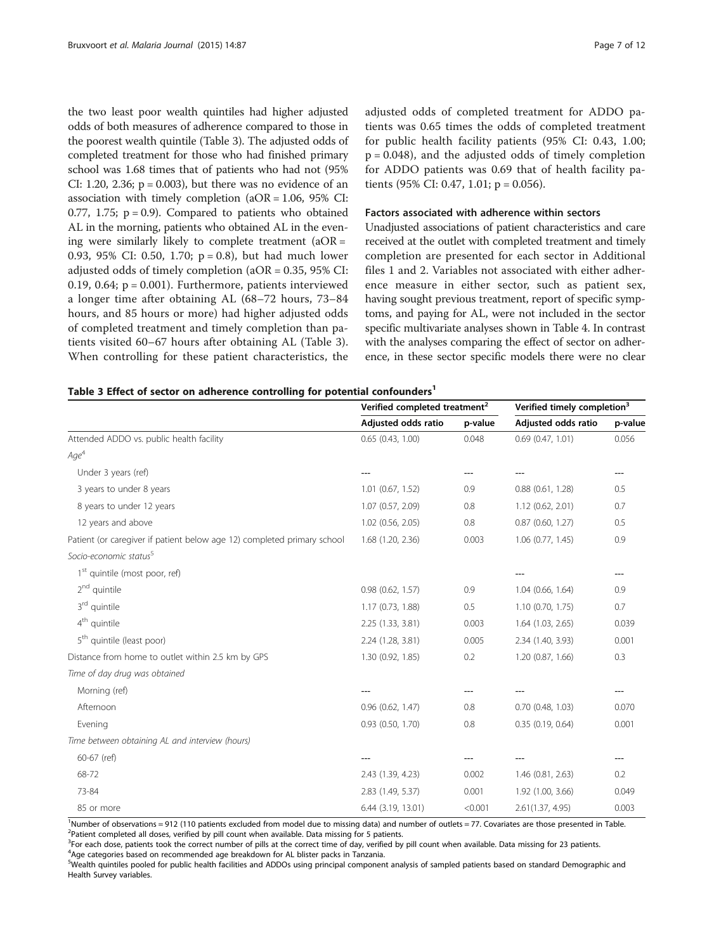the two least poor wealth quintiles had higher adjusted odds of both measures of adherence compared to those in the poorest wealth quintile (Table 3). The adjusted odds of completed treatment for those who had finished primary school was 1.68 times that of patients who had not (95% CI: 1.20, 2.36;  $p = 0.003$ ), but there was no evidence of an association with timely completion (aOR = 1.06, 95% CI: 0.77, 1.75;  $p = 0.9$ ). Compared to patients who obtained AL in the morning, patients who obtained AL in the evening were similarly likely to complete treatment (aOR = 0.93, 95% CI: 0.50, 1.70; p = 0.8), but had much lower adjusted odds of timely completion (aOR = 0.35, 95% CI: 0.19, 0.64;  $p = 0.001$ ). Furthermore, patients interviewed a longer time after obtaining AL (68–72 hours, 73–84 hours, and 85 hours or more) had higher adjusted odds of completed treatment and timely completion than patients visited 60–67 hours after obtaining AL (Table 3). When controlling for these patient characteristics, the

adjusted odds of completed treatment for ADDO patients was 0.65 times the odds of completed treatment for public health facility patients (95% CI: 0.43, 1.00; p = 0.048), and the adjusted odds of timely completion for ADDO patients was 0.69 that of health facility patients (95% CI: 0.47, 1.01;  $p = 0.056$ ).

## Factors associated with adherence within sectors

Unadjusted associations of patient characteristics and care received at the outlet with completed treatment and timely completion are presented for each sector in Additional files [1](#page-10-0) and [2](#page-10-0). Variables not associated with either adherence measure in either sector, such as patient sex, having sought previous treatment, report of specific symptoms, and paying for AL, were not included in the sector specific multivariate analyses shown in Table [4](#page-7-0). In contrast with the analyses comparing the effect of sector on adherence, in these sector specific models there were no clear

| Table 3 Effect of sector on adherence controlling for potential confounders <sup>1</sup> |  |
|------------------------------------------------------------------------------------------|--|
|------------------------------------------------------------------------------------------|--|

|                                                                         | Verified completed treatment <sup>2</sup> |         | Verified timely completion <sup>3</sup> |         |  |
|-------------------------------------------------------------------------|-------------------------------------------|---------|-----------------------------------------|---------|--|
|                                                                         | Adjusted odds ratio                       | p-value | Adjusted odds ratio                     | p-value |  |
| Attended ADDO vs. public health facility                                | 0.65(0.43, 1.00)                          | 0.048   | $0.69$ (0.47, 1.01)                     | 0.056   |  |
| $Aqe^4$                                                                 |                                           |         |                                         |         |  |
| Under 3 years (ref)                                                     |                                           |         |                                         | $---$   |  |
| 3 years to under 8 years                                                | $1.01$ $(0.67, 1.52)$                     | 0.9     | $0.88$ $(0.61, 1.28)$                   | 0.5     |  |
| 8 years to under 12 years                                               | 1.07 (0.57, 2.09)                         | 0.8     | 1.12 (0.62, 2.01)                       | 0.7     |  |
| 12 years and above                                                      | 1.02 (0.56, 2.05)                         | 0.8     | $0.87$ (0.60, 1.27)                     | 0.5     |  |
| Patient (or caregiver if patient below age 12) completed primary school | 1.68 (1.20, 2.36)                         | 0.003   | $1.06$ (0.77, 1.45)                     | 0.9     |  |
| Socio-economic status <sup>5</sup>                                      |                                           |         |                                         |         |  |
| 1 <sup>st</sup> quintile (most poor, ref)                               |                                           |         | ---                                     |         |  |
| 2 <sup>nd</sup> quintile                                                | 0.98(0.62, 1.57)                          | 0.9     | $1.04$ (0.66, 1.64)                     | 0.9     |  |
| 3rd quintile                                                            | 1.17(0.73, 1.88)                          | 0.5     | $1.10$ (0.70, 1.75)                     | 0.7     |  |
| 4 <sup>th</sup> quintile                                                | 2.25 (1.33, 3.81)                         | 0.003   | 1.64 (1.03, 2.65)                       | 0.039   |  |
| 5 <sup>th</sup> quintile (least poor)                                   | 2.24 (1.28, 3.81)                         | 0.005   | 2.34 (1.40, 3.93)                       | 0.001   |  |
| Distance from home to outlet within 2.5 km by GPS                       | 1.30 (0.92, 1.85)                         | 0.2     | 1.20 (0.87, 1.66)                       | 0.3     |  |
| Time of day drug was obtained                                           |                                           |         |                                         |         |  |
| Morning (ref)                                                           |                                           |         |                                         |         |  |
| Afternoon                                                               | $0.96$ $(0.62, 1.47)$                     | 0.8     | 0.70 (0.48, 1.03)                       | 0.070   |  |
| Evening                                                                 | 0.93(0.50, 1.70)                          | 0.8     | 0.35(0.19, 0.64)                        | 0.001   |  |
| Time between obtaining AL and interview (hours)                         |                                           |         |                                         |         |  |
| 60-67 (ref)                                                             |                                           |         |                                         |         |  |
| 68-72                                                                   | 2.43 (1.39, 4.23)                         | 0.002   | 1.46 (0.81, 2.63)                       | 0.2     |  |
| 73-84                                                                   | 2.83 (1.49, 5.37)                         | 0.001   | 1.92 (1.00, 3.66)                       | 0.049   |  |
| 85 or more                                                              | 6.44 (3.19, 13.01)                        | < 0.001 | 2.61(1.37, 4.95)                        | 0.003   |  |

<sup>1</sup>Number of observations = 912 (110 patients excluded from model due to missing data) and number of outlets = 77. Covariates are those presented in Table. <sup>2</sup> Patient completed all doses, verified by pill count when available. Data missing for 5 patients.

<sup>3</sup>For each dose, patients took the correct number of pills at the correct time of day, verified by pill count when available. Data missing for 23 patients.

<sup>4</sup>Age categories based on recommended age breakdown for AL blister packs in Tanzania.

5<br>Wealth quintiles pooled for public health facilities and ADDOs using principal component analysis of sampled patients based on standard Demographic and Health Survey variables.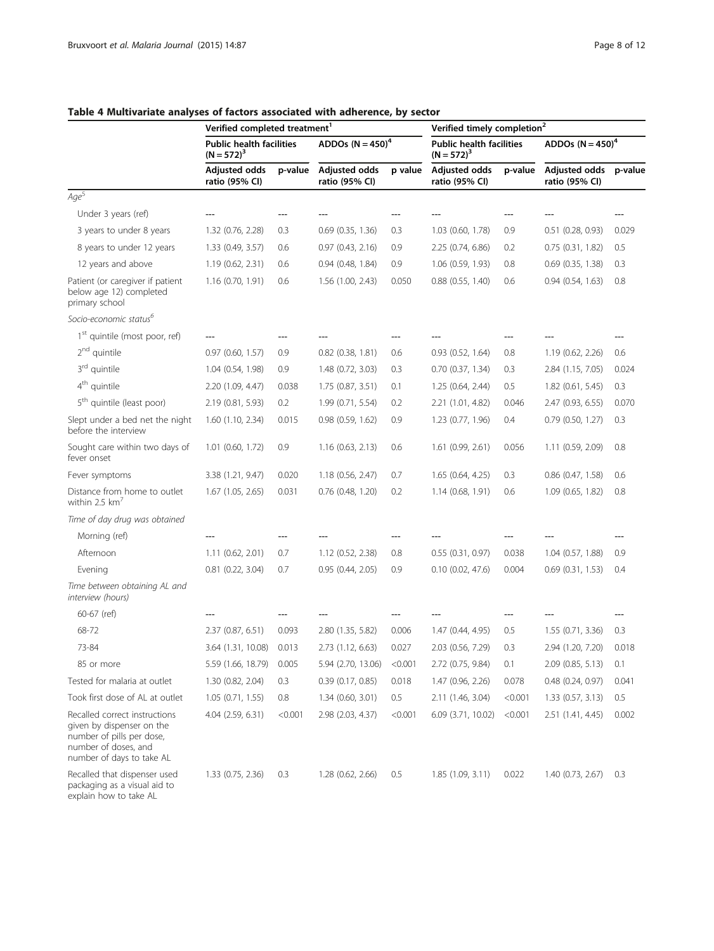|                                                                                                                                              | able + multivariate alialyses or lactors associated with adilerence, by sector<br>Verified completed treatment <sup>1</sup> |         |                                        | Verified timely completion <sup>2</sup> |                                                  |         |                                        |         |
|----------------------------------------------------------------------------------------------------------------------------------------------|-----------------------------------------------------------------------------------------------------------------------------|---------|----------------------------------------|-----------------------------------------|--------------------------------------------------|---------|----------------------------------------|---------|
|                                                                                                                                              | <b>Public health facilities</b><br>$(N = 572)^3$                                                                            |         | ADDOs $(N = 450)^4$                    |                                         | <b>Public health facilities</b><br>$(N = 572)^3$ |         | ADDOs $(N = 450)^4$                    |         |
|                                                                                                                                              | <b>Adjusted odds</b><br>ratio (95% CI)                                                                                      | p-value | <b>Adjusted odds</b><br>ratio (95% CI) | p value                                 | <b>Adjusted odds</b><br>ratio (95% CI)           | p-value | <b>Adjusted odds</b><br>ratio (95% CI) | p-value |
| Age <sup>5</sup>                                                                                                                             |                                                                                                                             |         |                                        |                                         |                                                  |         |                                        |         |
| Under 3 years (ref)                                                                                                                          |                                                                                                                             | ---     |                                        | ---                                     |                                                  | ---     |                                        |         |
| 3 years to under 8 years                                                                                                                     | 1.32 (0.76, 2.28)                                                                                                           | 0.3     | $0.69$ $(0.35, 1.36)$                  | 0.3                                     | 1.03 (0.60, 1.78)                                | 0.9     | 0.51 (0.28, 0.93)                      | 0.029   |
| 8 years to under 12 years                                                                                                                    | 1.33 (0.49, 3.57)                                                                                                           | 0.6     | $0.97$ $(0.43, 2.16)$                  | 0.9                                     | 2.25 (0.74, 6.86)                                | 0.2     | $0.75$ $(0.31, 1.82)$                  | 0.5     |
| 12 years and above                                                                                                                           | 1.19 (0.62, 2.31)                                                                                                           | 0.6     | $0.94$ $(0.48, 1.84)$                  | 0.9                                     | $1.06$ (0.59, 1.93)                              | 0.8     | 0.69 (0.35, 1.38)                      | 0.3     |
| Patient (or caregiver if patient<br>below age 12) completed<br>primary school                                                                | 1.16 (0.70, 1.91)                                                                                                           | 0.6     | 1.56 (1.00, 2.43)                      | 0.050                                   | 0.88 (0.55, 1.40)                                | 0.6     | $0.94$ $(0.54, 1.63)$                  | 0.8     |
| Socio-economic status <sup>6</sup>                                                                                                           |                                                                                                                             |         |                                        |                                         |                                                  |         |                                        |         |
| 1 <sup>st</sup> quintile (most poor, ref)                                                                                                    |                                                                                                                             | ---     |                                        | ---                                     |                                                  |         |                                        |         |
| $2nd$ quintile                                                                                                                               | 0.97 (0.60, 1.57)                                                                                                           | 0.9     | 0.82 (0.38, 1.81)                      | 0.6                                     | 0.93 (0.52, 1.64)                                | 0.8     | 1.19 (0.62, 2.26)                      | 0.6     |
| 3rd quintile                                                                                                                                 | 1.04 (0.54, 1.98)                                                                                                           | 0.9     | 1.48 (0.72, 3.03)                      | 0.3                                     | $0.70$ $(0.37, 1.34)$                            | 0.3     | 2.84 (1.15, 7.05)                      | 0.024   |
| $4th$ quintile                                                                                                                               | 2.20 (1.09, 4.47)                                                                                                           | 0.038   | 1.75 (0.87, 3.51)                      | 0.1                                     | 1.25 (0.64, 2.44)                                | 0.5     | 1.82 (0.61, 5.45)                      | 0.3     |
| 5 <sup>th</sup> quintile (least poor)                                                                                                        | 2.19 (0.81, 5.93)                                                                                                           | 0.2     | 1.99 (0.71, 5.54)                      | 0.2                                     | 2.21 (1.01, 4.82)                                | 0.046   | 2.47 (0.93, 6.55)                      | 0.070   |
| Slept under a bed net the night<br>before the interview                                                                                      | $1.60$ $(1.10, 2.34)$                                                                                                       | 0.015   | $0.98$ $(0.59, 1.62)$                  | 0.9                                     | 1.23 (0.77, 1.96)                                | 0.4     | $0.79$ $(0.50, 1.27)$                  | 0.3     |
| Sought care within two days of<br>fever onset                                                                                                | 1.01 (0.60, 1.72)                                                                                                           | 0.9     | $1.16$ (0.63, 2.13)                    | 0.6                                     | $1.61$ (0.99, 2.61)                              | 0.056   | 1.11 (0.59, 2.09)                      | 0.8     |
| Fever symptoms                                                                                                                               | 3.38 (1.21, 9.47)                                                                                                           | 0.020   | 1.18 (0.56, 2.47)                      | 0.7                                     | 1.65 (0.64, 4.25)                                | 0.3     | $0.86$ $(0.47, 1.58)$                  | 0.6     |
| Distance from home to outlet<br>within 2.5 $km7$                                                                                             | 1.67 (1.05, 2.65)                                                                                                           | 0.031   | 0.76 (0.48, 1.20)                      | 0.2                                     | 1.14 (0.68, 1.91)                                | 0.6     | 1.09(0.65, 1.82)                       | 0.8     |
| Time of day drug was obtained                                                                                                                |                                                                                                                             |         |                                        |                                         |                                                  |         |                                        |         |
| Morning (ref)                                                                                                                                |                                                                                                                             | ---     |                                        | ---                                     |                                                  |         |                                        |         |
| Afternoon                                                                                                                                    | 1.11 (0.62, 2.01)                                                                                                           | 0.7     | 1.12 (0.52, 2.38)                      | 0.8                                     | $0.55$ $(0.31, 0.97)$                            | 0.038   | 1.04 (0.57, 1.88)                      | 0.9     |
| Evening                                                                                                                                      | $0.81$ $(0.22, 3.04)$                                                                                                       | 0.7     | 0.95(0.44, 2.05)                       | 0.9                                     | $0.10$ $(0.02, 47.6)$                            | 0.004   | $0.69$ $(0.31, 1.53)$                  | 0.4     |
| Time between obtaining AL and<br>interview (hours)                                                                                           |                                                                                                                             |         |                                        |                                         |                                                  |         |                                        |         |
| 60-67 (ref)                                                                                                                                  |                                                                                                                             |         |                                        |                                         |                                                  |         |                                        |         |
| 68-72                                                                                                                                        | 2.37 (0.87, 6.51)                                                                                                           | 0.093   | 2.80 (1.35, 5.82)                      | 0.006                                   | 1.47 (0.44, 4.95)                                | 0.5     | 1.55 (0.71, 3.36)                      | 0.3     |
| 73-84                                                                                                                                        | 3.64 (1.31, 10.08)                                                                                                          | 0.013   | 2.73 (1.12, 6.63)                      | 0.027                                   | 2.03 (0.56, 7.29)                                | 0.3     | 2.94 (1.20, 7.20)                      | 0.018   |
| 85 or more                                                                                                                                   | 5.59 (1.66, 18.79)                                                                                                          | 0.005   | 5.94 (2.70, 13.06)                     | < 0.001                                 | 2.72 (0.75, 9.84)                                | 0.1     | 2.09 (0.85, 5.13)                      | 0.1     |
| Tested for malaria at outlet                                                                                                                 | 1.30 (0.82, 2.04)                                                                                                           | 0.3     | $0.39$ $(0.17, 0.85)$                  | 0.018                                   | 1.47 (0.96, 2.26)                                | 0.078   | 0.48 (0.24, 0.97)                      | 0.041   |
| Took first dose of AL at outlet                                                                                                              | 1.05(0.71, 1.55)                                                                                                            | 0.8     | 1.34 (0.60, 3.01)                      | 0.5                                     | 2.11 (1.46, 3.04)                                | < 0.001 | 1.33(0.57, 3.13)                       | 0.5     |
| Recalled correct instructions<br>given by dispenser on the<br>number of pills per dose,<br>number of doses, and<br>number of days to take AL | 4.04 (2.59, 6.31)                                                                                                           | < 0.001 | 2.98 (2.03, 4.37)                      | < 0.001                                 | 6.09 (3.71, 10.02)                               | < 0.001 | 2.51 (1.41, 4.45)                      | 0.002   |
| Recalled that dispenser used<br>packaging as a visual aid to                                                                                 | 1.33 (0.75, 2.36)                                                                                                           | 0.3     | 1.28 (0.62, 2.66)                      | 0.5                                     | 1.85 (1.09, 3.11)                                | 0.022   | 1.40(0.73, 2.67)                       | 0.3     |

## <span id="page-7-0"></span>Table 4 Multivariate analyses of factors associated with adherence, by sector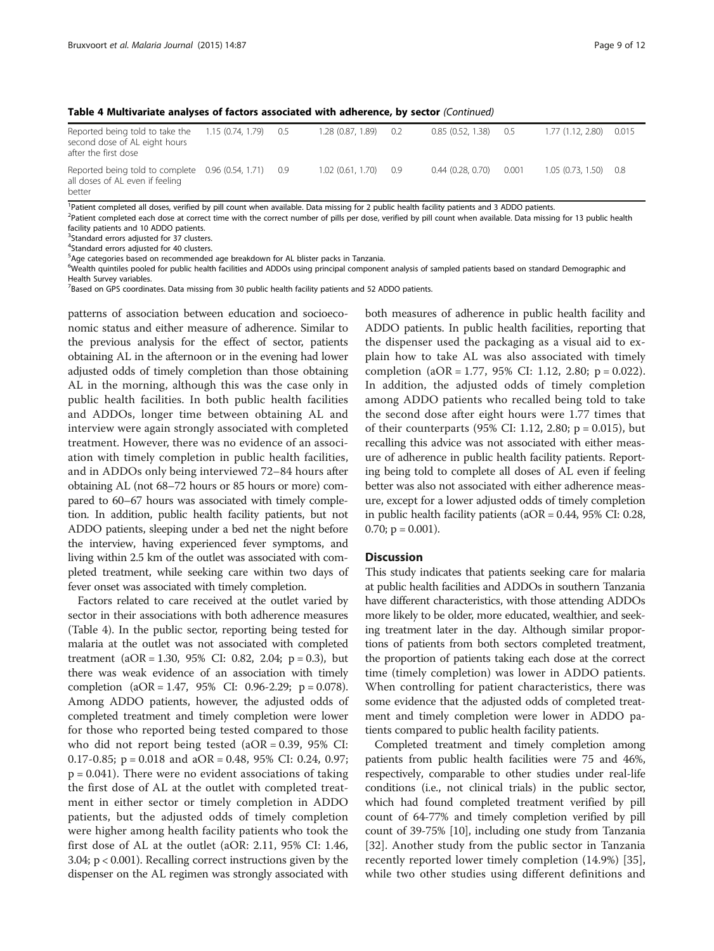| Reported being told to take the $1.15(0.74, 1.79)$<br>second dose of AL eight hours<br>after the first dose | 0.5 | 1.28 (0.87, 1.89) | 0.2 | 0.85(0.52, 1.38) | 0.5   | 1.77 (1.12, 2.80) | 0.015 |
|-------------------------------------------------------------------------------------------------------------|-----|-------------------|-----|------------------|-------|-------------------|-------|
| Reported being told to complete 0.96 (0.54, 1.71) 0.9<br>all doses of AL even if feeling<br>better          |     | 1.02 (0.61, 1.70) | 0.9 | 0.44(0.28, 0.70) | 0.001 | 1.05 (0.73, 1.50) | - 0.8 |

Table 4 Multivariate analyses of factors associated with adherence, by sector (Continued)

<sup>1</sup>Patient completed all doses, verified by pill count when available. Data missing for 2 public health facility patients and 3 ADDO patients.

<sup>2</sup>Patient completed each dose at correct time with the correct number of pills per dose, verified by pill count when available. Data missing for 13 public health facility patients and 10 ADDO patients.

<sup>3</sup> Standard errors adjusted for 37 clusters.

4 Standard errors adjusted for 40 clusters.

<sup>5</sup>Age categories based on recommended age breakdown for AL blister packs in Tanzania.

<sup>6</sup>Wealth quintiles pooled for public health facilities and ADDOs using principal component analysis of sampled patients based on standard Demographic and Health Survey variables.

<sup>7</sup>Based on GPS coordinates. Data missing from 30 public health facility patients and 52 ADDO patients.

patterns of association between education and socioeconomic status and either measure of adherence. Similar to the previous analysis for the effect of sector, patients obtaining AL in the afternoon or in the evening had lower adjusted odds of timely completion than those obtaining AL in the morning, although this was the case only in public health facilities. In both public health facilities and ADDOs, longer time between obtaining AL and interview were again strongly associated with completed treatment. However, there was no evidence of an association with timely completion in public health facilities, and in ADDOs only being interviewed 72–84 hours after obtaining AL (not 68–72 hours or 85 hours or more) compared to 60–67 hours was associated with timely completion. In addition, public health facility patients, but not ADDO patients, sleeping under a bed net the night before the interview, having experienced fever symptoms, and living within 2.5 km of the outlet was associated with completed treatment, while seeking care within two days of fever onset was associated with timely completion.

Factors related to care received at the outlet varied by sector in their associations with both adherence measures (Table [4](#page-7-0)). In the public sector, reporting being tested for malaria at the outlet was not associated with completed treatment (aOR = 1.30, 95% CI: 0.82, 2.04;  $p = 0.3$ ), but there was weak evidence of an association with timely completion (aOR = 1.47, 95% CI: 0.96-2.29; p = 0.078). Among ADDO patients, however, the adjusted odds of completed treatment and timely completion were lower for those who reported being tested compared to those who did not report being tested  $(aOR = 0.39, 95\% \text{ CI:}$ 0.17-0.85;  $p = 0.018$  and aOR = 0.48, 95% CI: 0.24, 0.97;  $p = 0.041$ ). There were no evident associations of taking the first dose of AL at the outlet with completed treatment in either sector or timely completion in ADDO patients, but the adjusted odds of timely completion were higher among health facility patients who took the first dose of AL at the outlet (aOR: 2.11, 95% CI: 1.46, 3.04; p < 0.001). Recalling correct instructions given by the dispenser on the AL regimen was strongly associated with

both measures of adherence in public health facility and ADDO patients. In public health facilities, reporting that the dispenser used the packaging as a visual aid to explain how to take AL was also associated with timely completion (aOR = 1.77, 95% CI: 1.12, 2.80;  $p = 0.022$ ). In addition, the adjusted odds of timely completion among ADDO patients who recalled being told to take the second dose after eight hours were 1.77 times that of their counterparts (95% CI: 1.12, 2.80; p = 0.015), but recalling this advice was not associated with either measure of adherence in public health facility patients. Reporting being told to complete all doses of AL even if feeling better was also not associated with either adherence measure, except for a lower adjusted odds of timely completion in public health facility patients ( $aOR = 0.44$ , 95% CI: 0.28, 0.70;  $p = 0.001$ ).

#### **Discussion**

This study indicates that patients seeking care for malaria at public health facilities and ADDOs in southern Tanzania have different characteristics, with those attending ADDOs more likely to be older, more educated, wealthier, and seeking treatment later in the day. Although similar proportions of patients from both sectors completed treatment, the proportion of patients taking each dose at the correct time (timely completion) was lower in ADDO patients. When controlling for patient characteristics, there was some evidence that the adjusted odds of completed treatment and timely completion were lower in ADDO patients compared to public health facility patients.

Completed treatment and timely completion among patients from public health facilities were 75 and 46%, respectively, comparable to other studies under real-life conditions (i.e., not clinical trials) in the public sector, which had found completed treatment verified by pill count of 64-77% and timely completion verified by pill count of 39-75% [\[10\]](#page-10-0), including one study from Tanzania [[32\]](#page-11-0). Another study from the public sector in Tanzania recently reported lower timely completion (14.9%) [\[35](#page-11-0)], while two other studies using different definitions and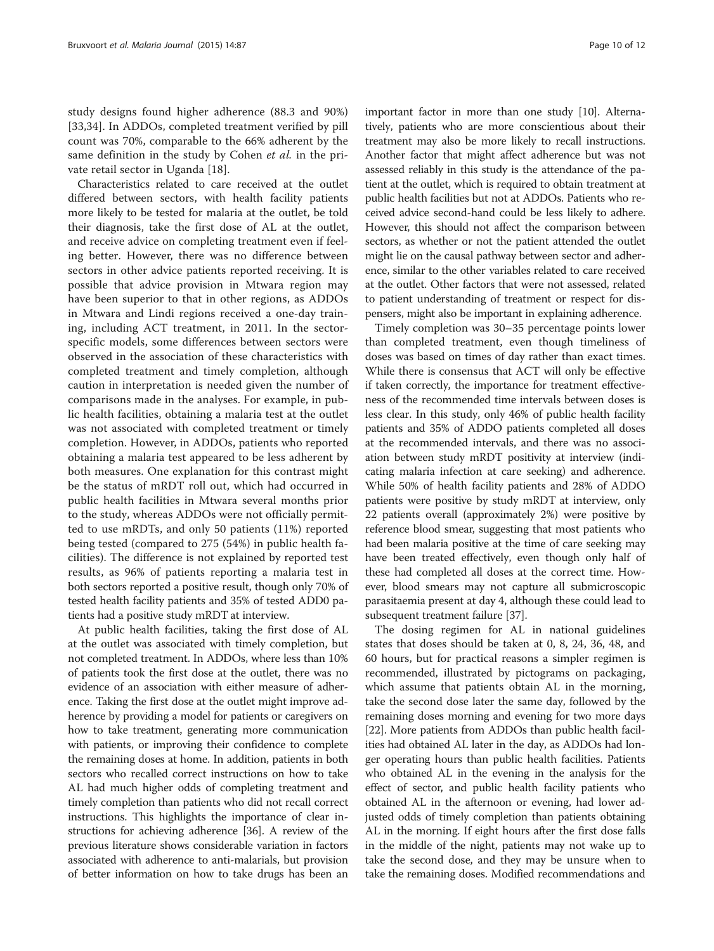study designs found higher adherence (88.3 and 90%) [[33,34](#page-11-0)]. In ADDOs, completed treatment verified by pill count was 70%, comparable to the 66% adherent by the same definition in the study by Cohen et al. in the private retail sector in Uganda [\[18](#page-11-0)].

Characteristics related to care received at the outlet differed between sectors, with health facility patients more likely to be tested for malaria at the outlet, be told their diagnosis, take the first dose of AL at the outlet, and receive advice on completing treatment even if feeling better. However, there was no difference between sectors in other advice patients reported receiving. It is possible that advice provision in Mtwara region may have been superior to that in other regions, as ADDOs in Mtwara and Lindi regions received a one-day training, including ACT treatment, in 2011. In the sectorspecific models, some differences between sectors were observed in the association of these characteristics with completed treatment and timely completion, although caution in interpretation is needed given the number of comparisons made in the analyses. For example, in public health facilities, obtaining a malaria test at the outlet was not associated with completed treatment or timely completion. However, in ADDOs, patients who reported obtaining a malaria test appeared to be less adherent by both measures. One explanation for this contrast might be the status of mRDT roll out, which had occurred in public health facilities in Mtwara several months prior to the study, whereas ADDOs were not officially permitted to use mRDTs, and only 50 patients (11%) reported being tested (compared to 275 (54%) in public health facilities). The difference is not explained by reported test results, as 96% of patients reporting a malaria test in both sectors reported a positive result, though only 70% of tested health facility patients and 35% of tested ADD0 patients had a positive study mRDT at interview.

At public health facilities, taking the first dose of AL at the outlet was associated with timely completion, but not completed treatment. In ADDOs, where less than 10% of patients took the first dose at the outlet, there was no evidence of an association with either measure of adherence. Taking the first dose at the outlet might improve adherence by providing a model for patients or caregivers on how to take treatment, generating more communication with patients, or improving their confidence to complete the remaining doses at home. In addition, patients in both sectors who recalled correct instructions on how to take AL had much higher odds of completing treatment and timely completion than patients who did not recall correct instructions. This highlights the importance of clear instructions for achieving adherence [[36](#page-11-0)]. A review of the previous literature shows considerable variation in factors associated with adherence to anti-malarials, but provision of better information on how to take drugs has been an important factor in more than one study [[10](#page-10-0)]. Alternatively, patients who are more conscientious about their treatment may also be more likely to recall instructions. Another factor that might affect adherence but was not assessed reliably in this study is the attendance of the patient at the outlet, which is required to obtain treatment at public health facilities but not at ADDOs. Patients who received advice second-hand could be less likely to adhere. However, this should not affect the comparison between sectors, as whether or not the patient attended the outlet might lie on the causal pathway between sector and adherence, similar to the other variables related to care received at the outlet. Other factors that were not assessed, related to patient understanding of treatment or respect for dispensers, might also be important in explaining adherence.

Timely completion was 30–35 percentage points lower than completed treatment, even though timeliness of doses was based on times of day rather than exact times. While there is consensus that ACT will only be effective if taken correctly, the importance for treatment effectiveness of the recommended time intervals between doses is less clear. In this study, only 46% of public health facility patients and 35% of ADDO patients completed all doses at the recommended intervals, and there was no association between study mRDT positivity at interview (indicating malaria infection at care seeking) and adherence. While 50% of health facility patients and 28% of ADDO patients were positive by study mRDT at interview, only 22 patients overall (approximately 2%) were positive by reference blood smear, suggesting that most patients who had been malaria positive at the time of care seeking may have been treated effectively, even though only half of these had completed all doses at the correct time. However, blood smears may not capture all submicroscopic parasitaemia present at day 4, although these could lead to subsequent treatment failure [\[37\]](#page-11-0).

The dosing regimen for AL in national guidelines states that doses should be taken at 0, 8, 24, 36, 48, and 60 hours, but for practical reasons a simpler regimen is recommended, illustrated by pictograms on packaging, which assume that patients obtain AL in the morning, take the second dose later the same day, followed by the remaining doses morning and evening for two more days [[22](#page-11-0)]. More patients from ADDOs than public health facilities had obtained AL later in the day, as ADDOs had longer operating hours than public health facilities. Patients who obtained AL in the evening in the analysis for the effect of sector, and public health facility patients who obtained AL in the afternoon or evening, had lower adjusted odds of timely completion than patients obtaining AL in the morning. If eight hours after the first dose falls in the middle of the night, patients may not wake up to take the second dose, and they may be unsure when to take the remaining doses. Modified recommendations and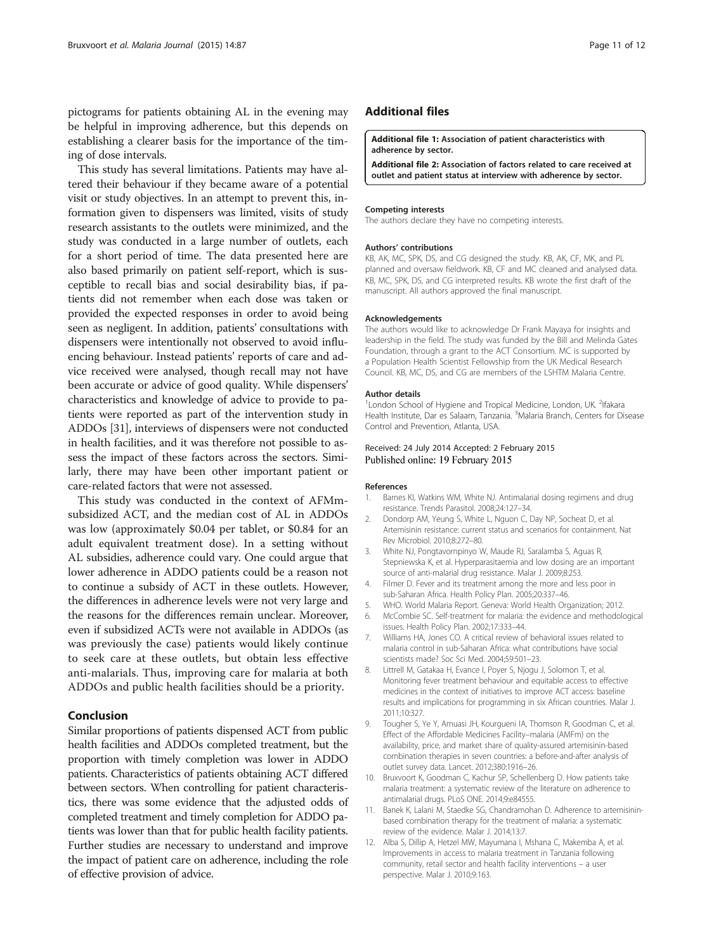<span id="page-10-0"></span>pictograms for patients obtaining AL in the evening may be helpful in improving adherence, but this depends on establishing a clearer basis for the importance of the timing of dose intervals.

This study has several limitations. Patients may have altered their behaviour if they became aware of a potential visit or study objectives. In an attempt to prevent this, information given to dispensers was limited, visits of study research assistants to the outlets were minimized, and the study was conducted in a large number of outlets, each for a short period of time. The data presented here are also based primarily on patient self-report, which is susceptible to recall bias and social desirability bias, if patients did not remember when each dose was taken or provided the expected responses in order to avoid being seen as negligent. In addition, patients' consultations with dispensers were intentionally not observed to avoid influencing behaviour. Instead patients' reports of care and advice received were analysed, though recall may not have been accurate or advice of good quality. While dispensers' characteristics and knowledge of advice to provide to patients were reported as part of the intervention study in ADDOs [[31](#page-11-0)], interviews of dispensers were not conducted in health facilities, and it was therefore not possible to assess the impact of these factors across the sectors. Similarly, there may have been other important patient or care-related factors that were not assessed.

This study was conducted in the context of AFMmsubsidized ACT, and the median cost of AL in ADDOs was low (approximately \$0.04 per tablet, or \$0.84 for an adult equivalent treatment dose). In a setting without AL subsidies, adherence could vary. One could argue that lower adherence in ADDO patients could be a reason not to continue a subsidy of ACT in these outlets. However, the differences in adherence levels were not very large and the reasons for the differences remain unclear. Moreover, even if subsidized ACTs were not available in ADDOs (as was previously the case) patients would likely continue to seek care at these outlets, but obtain less effective anti-malarials. Thus, improving care for malaria at both ADDOs and public health facilities should be a priority.

### Conclusion

Similar proportions of patients dispensed ACT from public health facilities and ADDOs completed treatment, but the proportion with timely completion was lower in ADDO patients. Characteristics of patients obtaining ACT differed between sectors. When controlling for patient characteristics, there was some evidence that the adjusted odds of completed treatment and timely completion for ADDO patients was lower than that for public health facility patients. Further studies are necessary to understand and improve the impact of patient care on adherence, including the role of effective provision of advice.

## Additional files

[Additional file 1:](http://www.malariajournal.com/content/supplementary/s12936-015-0602-x-s1.docx) Association of patient characteristics with adherence by sector.

[Additional file 2:](http://www.malariajournal.com/content/supplementary/s12936-015-0602-x-s2.docx) Association of factors related to care received at outlet and patient status at interview with adherence by sector.

#### Competing interests

The authors declare they have no competing interests.

#### Authors' contributions

KB, AK, MC, SPK, DS, and CG designed the study. KB, AK, CF, MK, and PL planned and oversaw fieldwork. KB, CF and MC cleaned and analysed data. KB, MC, SPK, DS, and CG interpreted results. KB wrote the first draft of the manuscript. All authors approved the final manuscript.

#### Acknowledgements

The authors would like to acknowledge Dr Frank Mayaya for insights and leadership in the field. The study was funded by the Bill and Melinda Gates Foundation, through a grant to the ACT Consortium. MC is supported by a Population Health Scientist Fellowship from the UK Medical Research Council. KB, MC, DS, and CG are members of the LSHTM Malaria Centre.

#### Author details

<sup>1</sup> London School of Hygiene and Tropical Medicine, London, UK. <sup>2</sup>lfakara Health Institute, Dar es Salaam, Tanzania. <sup>3</sup>Malaria Branch, Centers for Disease Control and Prevention, Atlanta, USA.

#### Received: 24 July 2014 Accepted: 2 February 2015 Published online: 19 February 2015

#### References

- 1. Barnes KI, Watkins WM, White NJ. Antimalarial dosing regimens and drug resistance. Trends Parasitol. 2008;24:127–34.
- 2. Dondorp AM, Yeung S, White L, Nguon C, Day NP, Socheat D, et al. Artemisinin resistance: current status and scenarios for containment. Nat Rev Microbiol. 2010;8:272–80.
- 3. White NJ, Pongtavornpinyo W, Maude RJ, Saralamba S, Aguas R, Stepniewska K, et al. Hyperparasitaemia and low dosing are an important source of anti-malarial drug resistance. Malar J. 2009;8:253.
- 4. Filmer D. Fever and its treatment among the more and less poor in sub-Saharan Africa. Health Policy Plan. 2005;20:337–46.
- 5. WHO. World Malaria Report. Geneva: World Health Organization; 2012.
- 6. McCombie SC. Self-treatment for malaria: the evidence and methodological issues. Health Policy Plan. 2002;17:333–44.
- 7. Williams HA, Jones CO. A critical review of behavioral issues related to malaria control in sub-Saharan Africa: what contributions have social scientists made? Soc Sci Med. 2004;59:501–23.
- 8. Littrell M, Gatakaa H, Evance I, Poyer S, Njogu J, Solomon T, et al. Monitoring fever treatment behaviour and equitable access to effective medicines in the context of initiatives to improve ACT access: baseline results and implications for programming in six African countries. Malar J. 2011;10:327.
- 9. Tougher S, Ye Y, Amuasi JH, Kourgueni IA, Thomson R, Goodman C, et al. Effect of the Affordable Medicines Facility–malaria (AMFm) on the availability, price, and market share of quality-assured artemisinin-based combination therapies in seven countries: a before-and-after analysis of outlet survey data. Lancet. 2012;380:1916–26.
- 10. Bruxvoort K, Goodman C, Kachur SP, Schellenberg D. How patients take malaria treatment: a systematic review of the literature on adherence to antimalarial drugs. PLoS ONE. 2014;9:e84555.
- 11. Banek K, Lalani M, Staedke SG, Chandramohan D. Adherence to artemisininbased combination therapy for the treatment of malaria: a systematic review of the evidence. Malar J. 2014;13:7.
- 12. Alba S, Dillip A, Hetzel MW, Mayumana I, Mshana C, Makemba A, et al. Improvements in access to malaria treatment in Tanzania following community, retail sector and health facility interventions – a user perspective. Malar J. 2010;9:163.